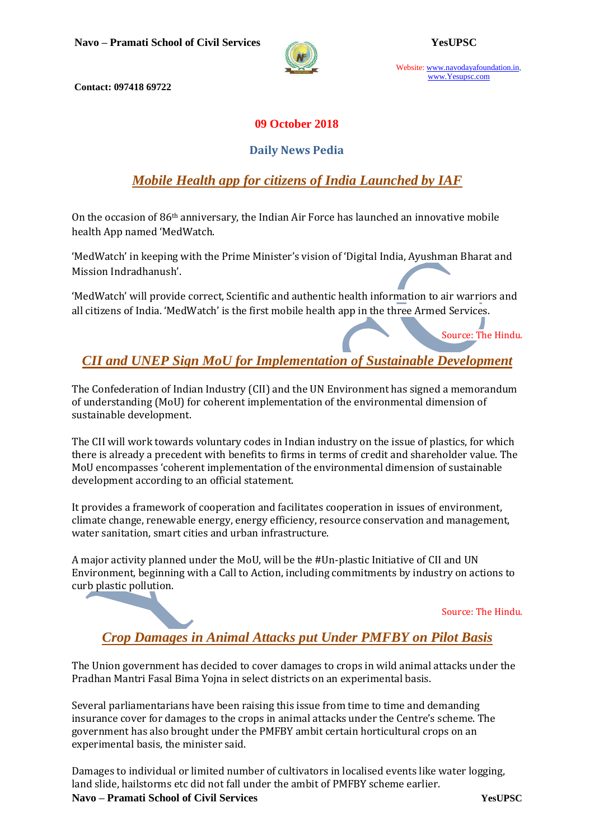

Website: www.navodayafoundation.in, www.Yesupsc.com

**Contact: 097418 69722**

### **09 October 2018**

#### **Daily News Pedia**

## *Mobile Health app for citizens of India Launched by IAF*

On the occasion of 86th anniversary, the Indian Air Force has launched an innovative mobile health App named 'MedWatch.

'MedWatch' in keeping with the Prime Minister's vision of 'Digital India, Ayushman Bharat and Mission Indradhanush'.

'MedWatch' will provide correct, Scientific and authentic health information to air warriors and all citizens of India. 'MedWatch' is the first mobile health app in the three Armed Services.

Source: The Hindu.

# *CII and UNEP Sign MoU [for Implementation of Sustainable Development](https://www.civilsdaily.com/news/cii-and-unep-sign-mou-for-implementation-of-sustainable-development/)*

The Confederation of Indian Industry (CII) and the UN Environment has signed a memorandum of understanding (MoU) for coherent implementation of the environmental dimension of sustainable development.

The CII will work towards voluntary codes in Indian industry on the issue of plastics, for which there is already a precedent with benefits to firms in terms of credit and shareholder value. The MoU encompasses 'coherent implementation of the environmental dimension of sustainable development according to an official statement.

It provides a framework of cooperation and facilitates cooperation in issues of environment, climate change, renewable energy, energy efficiency, resource conservation and management, water sanitation, smart cities and urban infrastructure.

A major activity planned under the MoU, will be the #Un-plastic Initiative of CII and UN Environment, beginning with a Call to Action, including commitments by industry on actions to curb plastic pollution.

Source: The Hindu.

# *[Crop Damages in Animal Attacks put Under](https://www.civilsdaily.com/news/crop-damages-in-animal-attacks-put-under-pmfby-on-pilot-basis/) PMFBY on Pilot Basis*

The Union government has decided to cover damages to crops in wild animal attacks under the Pradhan Mantri Fasal Bima Yojna in select districts on an experimental basis.

Several parliamentarians have been raising this issue from time to time and demanding insurance cover for damages to the crops in animal attacks under the Centre's scheme. The government has also brought under the PMFBY ambit certain horticultural crops on an experimental basis, the minister said.

**Navo – Pramati School of Civil Services YesUPSC** Damages to individual or limited number of cultivators in localised events like water logging, land slide, hailstorms etc did not fall under the ambit of PMFBY scheme earlier.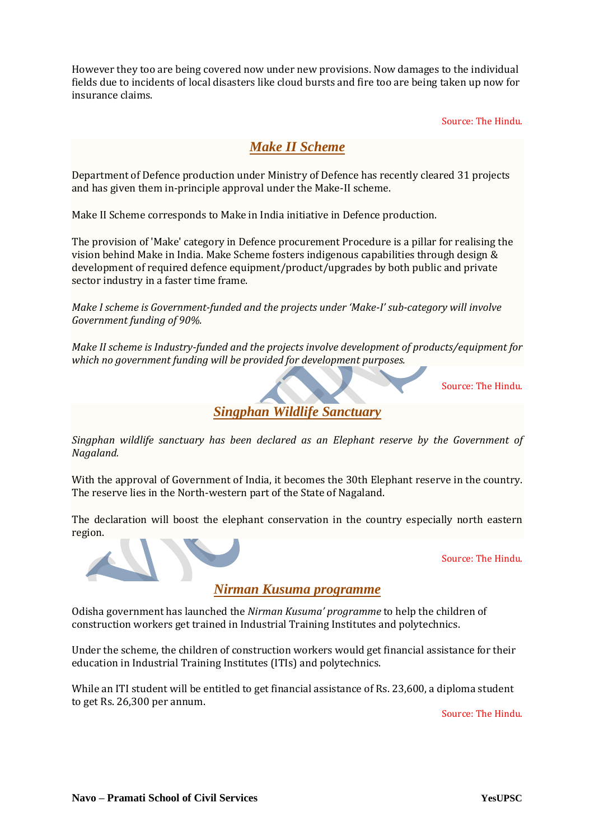However they too are being covered now under new provisions. Now damages to the individual fields due to incidents of local disasters like cloud bursts and fire too are being taken up now for insurance claims.

Source: The Hindu.

### *Make II Scheme*

Department of Defence production under Ministry of Defence has recently cleared 31 projects and has given them in-principle approval under the Make-II scheme.

Make II Scheme corresponds to Make in India initiative in Defence production.

The provision of 'Make' category in Defence procurement Procedure is a pillar for realising the vision behind Make in India. Make Scheme fosters indigenous capabilities through design & development of required defence equipment/product/upgrades by both public and private sector industry in a faster time frame.

*Make I scheme is Government-funded and the projects under 'Make-I' sub-category will involve Government funding of 90%.*

*Make II scheme is Industry-funded and the projects involve development of products/equipment for which no government funding will be provided for development purposes.*

Source: The Hindu.

*Singphan Wildlife Sanctuary*

*Singphan wildlife sanctuary has been declared as an Elephant reserve by the Government of Nagaland.*

With the approval of Government of India, it becomes the 30th Elephant reserve in the country. The reserve lies in the North-western part of the State of Nagaland.

The declaration will boost the elephant conservation in the country especially north eastern region.



Source: The Hindu.

*Nirman Kusuma programme*

Odisha government has launched the *Nirman Kusuma' programme* to help the children of construction workers get trained in Industrial Training Institutes and polytechnics.

Under the scheme, the children of construction workers would get financial assistance for their education in Industrial Training Institutes (ITIs) and polytechnics.

While an ITI student will be entitled to get financial assistance of Rs. 23,600, a diploma student to get Rs. 26,300 per annum.

Source: The Hindu.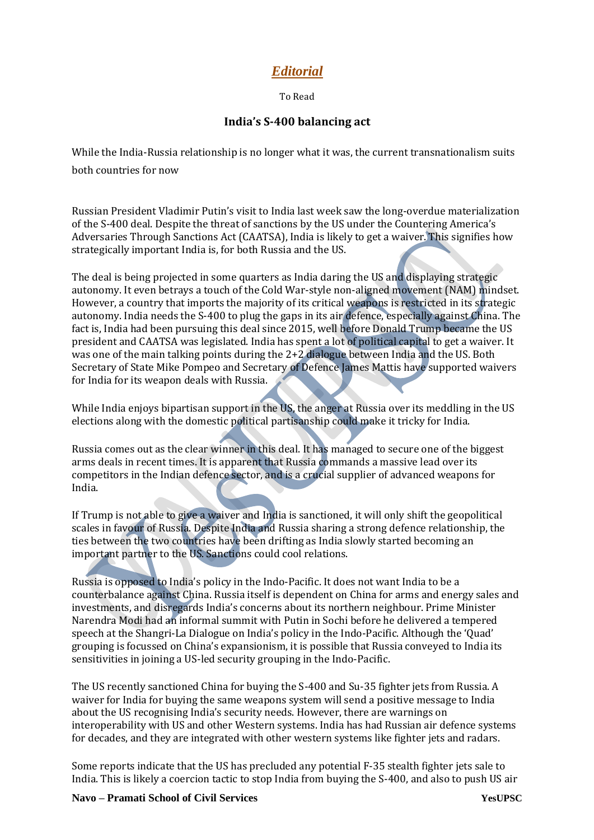## *Editorial*

To Read

#### **India's S-400 balancing act**

While the India-Russia relationship is no longer what it was, the current transnationalism suits both countries for now

Russian President Vladimir Putin's visit to India last week saw the long-overdue materialization of the S-400 deal. Despite the threat of sanctions by the US under the Countering America's Adversaries Through Sanctions Act (CAATSA), India is likely to get a waiver. This signifies how strategically important India is, for both Russia and the US.

The deal is being projected in some quarters as India daring the US and displaying strategic autonomy. It even betrays a touch of the Cold War-style non-aligned movement (NAM) mindset. However, a country that imports the majority of its critical weapons is restricted in its strategic autonomy. India needs the S-400 to plug the gaps in its air defence, especially against China. The fact is, India had been pursuing this deal since 2015, well before Donald Trump became the US president and CAATSA was legislated. India has spent a lot of political capital to get a waiver. It was one of the main talking points during the 2+2 dialogue between India and the US. Both Secretary of State Mike Pompeo and Secretary of Defence James Mattis have supported waivers for India for its weapon deals with Russia.

While India enjoys bipartisan support in the US, the anger at Russia over its meddling in the US elections along with the domestic political partisanship could make it tricky for India.

Russia comes out as the clear winner in this deal. It has managed to secure one of the biggest arms deals in recent times. It is apparent that Russia commands a massive lead over its competitors in the Indian defence sector, and is a crucial supplier of advanced weapons for India.

If Trump is not able to give a waiver and India is sanctioned, it will only shift the geopolitical scales in favour of Russia. Despite India and Russia sharing a strong defence relationship, the ties between the two countries have been drifting as India slowly started becoming an important partner to the US. Sanctions could cool relations.

Russia is opposed to India's policy in the Indo-Pacific. It does not want India to be a counterbalance against China. Russia itself is dependent on China for arms and energy sales and investments, and disregards India's concerns about its northern neighbour. Prime Minister Narendra Modi had an informal summit with Putin in Sochi before he delivered a tempered speech at the Shangri-La Dialogue on India's policy in the Indo-Pacific. Although the 'Quad' grouping is focussed on China's expansionism, it is possible that Russia conveyed to India its sensitivities in joining a US-led security grouping in the Indo-Pacific.

The US recently sanctioned China for buying the S-400 and Su-35 fighter jets from Russia. A waiver for India for buying the same weapons system will send a positive message to India about the US recognising India's security needs. However, there are warnings on interoperability with US and other Western systems. India has had Russian air defence systems for decades, and they are integrated with other western systems like fighter jets and radars.

Some reports indicate that the US has precluded any potential F-35 stealth fighter jets sale to India. This is likely a coercion tactic to stop India from buying the S-400, and also to push US air